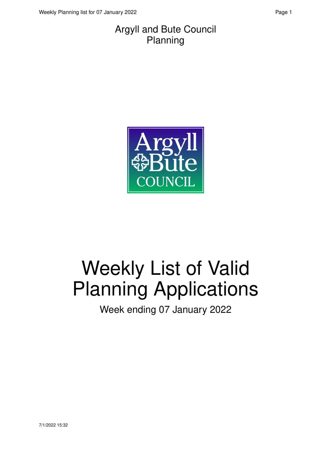#### Argyll and Bute Council Planning



# Weekly List of Valid Planning Applications

Week ending 07 January 2022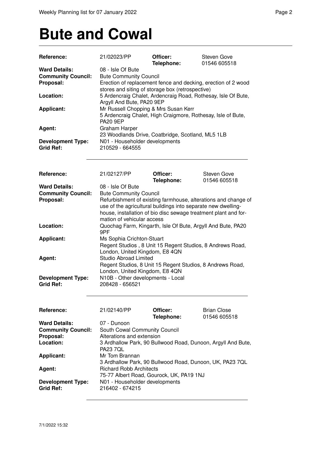### **Bute and Cowal**

| Reference:                                   | 21/02023/PP                                       | Officer:<br>Telephone: | Steven Gove<br>01546 605518                                     |
|----------------------------------------------|---------------------------------------------------|------------------------|-----------------------------------------------------------------|
| <b>Ward Details:</b>                         | 08 - Isle Of Bute                                 |                        |                                                                 |
| <b>Community Council:</b>                    | <b>Bute Community Council</b>                     |                        |                                                                 |
| Proposal:                                    |                                                   |                        | Erection of replacement fence and decking, erection of 2 wood   |
|                                              | stores and siting of storage box (retrospective)  |                        |                                                                 |
| Location:                                    |                                                   |                        | 5 Ardencraig Chalet, Ardencraig Road, Rothesay, Isle Of Bute,   |
|                                              | Argyll And Bute, PA20 9EP                         |                        |                                                                 |
| <b>Applicant:</b>                            | Mr Russell Chopping & Mrs Susan Kerr              |                        |                                                                 |
|                                              |                                                   |                        | 5 Ardencraig Chalet, High Craigmore, Rothesay, Isle of Bute,    |
|                                              | <b>PA20 9EP</b>                                   |                        |                                                                 |
| Agent:                                       | <b>Graham Harper</b>                              |                        |                                                                 |
|                                              | 23 Woodlands Drive, Coatbridge, Scotland, ML5 1LB |                        |                                                                 |
|                                              |                                                   |                        |                                                                 |
| <b>Development Type:</b><br><b>Grid Ref:</b> | N01 - Householder developments<br>210529 - 664555 |                        |                                                                 |
|                                              |                                                   |                        |                                                                 |
| Reference:                                   | 21/02127/PP                                       | Officer:<br>Telephone: | <b>Steven Gove</b><br>01546 605518                              |
| <b>Ward Details:</b>                         | 08 - Isle Of Bute                                 |                        |                                                                 |
| <b>Community Council:</b>                    | <b>Bute Community Council</b>                     |                        |                                                                 |
| Proposal:                                    |                                                   |                        | Refurbishment of existing farmhouse, alterations and change of  |
|                                              |                                                   |                        | use of the agricultural buildings into separate new dwelling-   |
|                                              |                                                   |                        | house, installation of bio disc sewage treatment plant and for- |
|                                              | mation of vehicular access                        |                        |                                                                 |
| Location:                                    |                                                   |                        | Quochag Farm, Kingarth, Isle Of Bute, Argyll And Bute, PA20     |
|                                              | 9PF                                               |                        |                                                                 |
| <b>Applicant:</b>                            | Ms Sophia Crichton-Stuart                         |                        |                                                                 |
|                                              |                                                   |                        | Regent Studios, 8 Unit 15 Regent Studios, 8 Andrews Road,       |
|                                              | London, United Kingdom, E8 4QN                    |                        |                                                                 |
| Agent:                                       | <b>Studio Abroad Limited</b>                      |                        |                                                                 |
|                                              |                                                   |                        | Regent Studios, 8 Unit 15 Regent Studios, 8 Andrews Road,       |
|                                              | London, United Kingdom, E8 4QN                    |                        |                                                                 |
|                                              | N10B - Other developments - Local                 |                        |                                                                 |
| <b>Development Type:</b>                     |                                                   |                        |                                                                 |
| <b>Grid Ref:</b>                             | 208428 - 656521                                   |                        |                                                                 |
| Reference:                                   | 21/02140/PP                                       | Officer:<br>Telephone: | <b>Brian Close</b><br>01546 605518                              |
|                                              |                                                   |                        |                                                                 |
| <b>Ward Details:</b>                         | 07 - Dunoon                                       |                        |                                                                 |
| <b>Community Council:</b>                    | South Cowal Community Council                     |                        |                                                                 |
| Proposal:                                    | Alterations and extension                         |                        |                                                                 |
| Location:                                    |                                                   |                        | 3 Ardhallow Park, 90 Bullwood Road, Dunoon, Argyll And Bute,    |
|                                              | <b>PA23 7QL</b>                                   |                        |                                                                 |
| <b>Applicant:</b>                            | Mr Tom Brannan                                    |                        |                                                                 |
|                                              |                                                   |                        | 3 Ardhallow Park, 90 Bullwood Road, Dunoon, UK, PA23 7QL        |
| Agent:                                       | <b>Richard Robb Architects</b>                    |                        |                                                                 |
|                                              | 75-77 Albert Road, Gourock, UK, PA19 1NJ          |                        |                                                                 |
| <b>Development Type:</b><br><b>Grid Ref:</b> | N01 - Householder developments<br>216402 - 674215 |                        |                                                                 |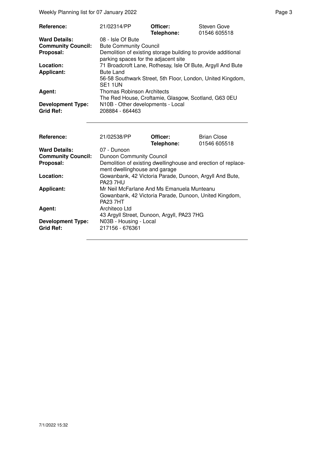Weekly Planning list for 07 January 2022 **Page 3** Page 3

| Reference:                                   | 21/02314/PP                                                                                           | Officer:<br>Telephone: | Steven Gove<br>01546 605518 |
|----------------------------------------------|-------------------------------------------------------------------------------------------------------|------------------------|-----------------------------|
| <b>Ward Details:</b>                         | 08 - Isle Of Bute                                                                                     |                        |                             |
| <b>Community Council:</b>                    | <b>Bute Community Council</b>                                                                         |                        |                             |
| Proposal:                                    | Demolition of existing storage building to provide additional<br>parking spaces for the adjacent site |                        |                             |
| Location:                                    | 71 Broadcroft Lane, Rothesay, Isle Of Bute, Argyll And Bute                                           |                        |                             |
| <b>Applicant:</b>                            | <b>Bute Land</b>                                                                                      |                        |                             |
|                                              | 56-58 Southwark Street, 5th Floor, London, United Kingdom,<br>SE <sub>1</sub> 1UN                     |                        |                             |
| Agent:                                       | <b>Thomas Robinson Architects</b>                                                                     |                        |                             |
|                                              | The Red House, Croftamie, Glasgow, Scotland, G63 0EU                                                  |                        |                             |
| <b>Development Type:</b><br><b>Grid Ref:</b> | N10B - Other developments - Local<br>208884 - 664463                                                  |                        |                             |

| <b>Reference:</b>                            | 21/02538/PP                                                                                                             | Officer:<br>Telephone: | <b>Brian Close</b><br>01546 605518 |
|----------------------------------------------|-------------------------------------------------------------------------------------------------------------------------|------------------------|------------------------------------|
| <b>Ward Details:</b>                         | 07 - Dunoon                                                                                                             |                        |                                    |
| <b>Community Council:</b>                    | <b>Dunoon Community Council</b>                                                                                         |                        |                                    |
| Proposal:                                    | Demolition of existing dwellinghouse and erection of replace-<br>ment dwellinghouse and garage                          |                        |                                    |
| Location:                                    | Gowanbank, 42 Victoria Parade, Dunoon, Argyll And Bute,<br><b>PA23 7HU</b>                                              |                        |                                    |
| <b>Applicant:</b>                            | Mr Neil McFarlane And Ms Emanuela Munteanu<br>Gowanbank, 42 Victoria Parade, Dunoon, United Kingdom,<br><b>PA23 7HT</b> |                        |                                    |
| <b>Agent:</b>                                | Architeco Ltd<br>43 Argyll Street, Dunoon, Argyll, PA23 7HG                                                             |                        |                                    |
| <b>Development Type:</b><br><b>Grid Ref:</b> | N03B - Housing - Local<br>217156 - 676361                                                                               |                        |                                    |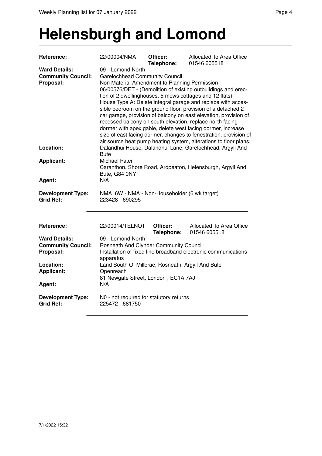#### **Helensburgh and Lomond**

| Reference:                                                     | 22/00004/NMA                                                                                                                                                                                                                                                                                                                                                                                                                                                                                                                                                                                                                                                                                                       | Officer:<br>Telephone: | Allocated To Area Office<br>01546 605518 |  |  |
|----------------------------------------------------------------|--------------------------------------------------------------------------------------------------------------------------------------------------------------------------------------------------------------------------------------------------------------------------------------------------------------------------------------------------------------------------------------------------------------------------------------------------------------------------------------------------------------------------------------------------------------------------------------------------------------------------------------------------------------------------------------------------------------------|------------------------|------------------------------------------|--|--|
| <b>Ward Details:</b><br><b>Community Council:</b><br>Proposal: | 09 - Lomond North<br><b>Garelochhead Community Council</b><br>Non Material Amendment to Planning Permission<br>06/00576/DET - (Demolition of existing outbuildings and erec-<br>tion of 2 dwellinghouses, 5 mews cottages and 12 flats) -<br>House Type A: Delete integral garage and replace with acces-<br>sible bedroom on the ground floor, provision of a detached 2<br>car garage, provision of balcony on east elevation, provision of<br>recessed balcony on south elevation, replace north facing<br>dormer with apex gable, delete west facing dormer, increase<br>size of east facing dormer, changes to fenestration, provision of<br>air source heat pump heating system, alterations to floor plans. |                        |                                          |  |  |
| Location:                                                      | Dalandhui House, Dalandhui Lane, Garelochhead, Argyll And<br><b>Bute</b><br><b>Michael Pater</b><br>Caranthon, Shore Road, Ardpeaton, Helensburgh, Argyll And<br>Bute, G84 0NY                                                                                                                                                                                                                                                                                                                                                                                                                                                                                                                                     |                        |                                          |  |  |
| <b>Applicant:</b>                                              |                                                                                                                                                                                                                                                                                                                                                                                                                                                                                                                                                                                                                                                                                                                    |                        |                                          |  |  |
| Agent:                                                         | N/A                                                                                                                                                                                                                                                                                                                                                                                                                                                                                                                                                                                                                                                                                                                |                        |                                          |  |  |
| <b>Development Type:</b><br><b>Grid Ref:</b>                   | NMA 6W - NMA - Non-Householder (6 wk target)<br>223428 - 690295                                                                                                                                                                                                                                                                                                                                                                                                                                                                                                                                                                                                                                                    |                        |                                          |  |  |
| Reference:                                                     | 22/00014/TELNOT                                                                                                                                                                                                                                                                                                                                                                                                                                                                                                                                                                                                                                                                                                    | Officer:<br>Telephone: | Allocated To Area Office<br>01546 605518 |  |  |
| <b>Ward Details:</b><br><b>Community Council:</b><br>Proposal: | 09 - Lomond North<br>Rosneath And Clynder Community Council<br>Installation of fixed line broadband electronic communications<br>apparatus                                                                                                                                                                                                                                                                                                                                                                                                                                                                                                                                                                         |                        |                                          |  |  |
| Location:<br><b>Applicant:</b><br>Agent:                       | Land South Of Millbrae, Rosneath, Argyll And Bute<br>Openreach<br>81 Newgate Street, London, EC1A 7AJ<br>N/A                                                                                                                                                                                                                                                                                                                                                                                                                                                                                                                                                                                                       |                        |                                          |  |  |
| <b>Development Type:</b><br><b>Grid Ref:</b>                   | N0 - not required for statutory returns<br>225472 - 681750                                                                                                                                                                                                                                                                                                                                                                                                                                                                                                                                                                                                                                                         |                        |                                          |  |  |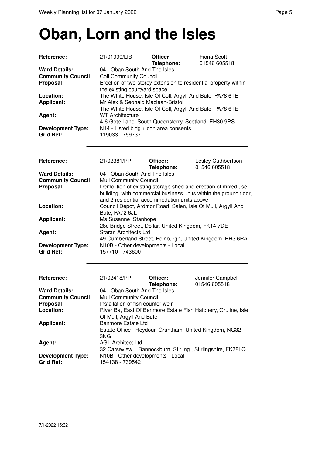#### **Oban, Lorn and the Isles**

| Reference:                                                     | 21/01990/LIB                                                                                                                                                                                                                                                                                                                   | Officer:<br>Telephone: | <b>Fiona Scott</b><br>01546 605518                            |  |  |
|----------------------------------------------------------------|--------------------------------------------------------------------------------------------------------------------------------------------------------------------------------------------------------------------------------------------------------------------------------------------------------------------------------|------------------------|---------------------------------------------------------------|--|--|
| <b>Ward Details:</b><br><b>Community Council:</b><br>Proposal: | 04 - Oban South And The Isles<br><b>Coll Community Council</b><br>Erection of two-storey extension to residential property within<br>the existing courtyard space<br>The White House, Isle Of Coll, Argyll And Bute, PA78 6TE<br>Mr Alex & Seonaid Maclean-Bristol<br>The White House, Isle Of Coll, Argyll And Bute, PA78 6TE |                        |                                                               |  |  |
| Location:<br><b>Applicant:</b>                                 |                                                                                                                                                                                                                                                                                                                                |                        |                                                               |  |  |
| Agent:                                                         | <b>WT Architecture</b>                                                                                                                                                                                                                                                                                                         |                        |                                                               |  |  |
| <b>Development Type:</b><br><b>Grid Ref:</b>                   | 4-6 Gote Lane, South Queensferry, Scotland, EH30 9PS<br>N14 - Listed bldg + con area consents<br>119033 - 759737                                                                                                                                                                                                               |                        |                                                               |  |  |
| Reference:                                                     | 21/02381/PP                                                                                                                                                                                                                                                                                                                    | Officer:<br>Telephone: | Lesley Cuthbertson<br>01546 605518                            |  |  |
| <b>Ward Details:</b>                                           | 04 - Oban South And The Isles                                                                                                                                                                                                                                                                                                  |                        |                                                               |  |  |
| <b>Community Council:</b>                                      | <b>Mull Community Council</b>                                                                                                                                                                                                                                                                                                  |                        |                                                               |  |  |
| Proposal:                                                      | Demolition of existing storage shed and erection of mixed use<br>building, with commercial business units within the ground floor,<br>and 2 residential accommodation units above                                                                                                                                              |                        |                                                               |  |  |
| Location:                                                      | Council Depot, Ardmor Road, Salen, Isle Of Mull, Argyll And<br>Bute, PA72 6JL                                                                                                                                                                                                                                                  |                        |                                                               |  |  |
| <b>Applicant:</b>                                              | Ms Susanne Stanhope<br>28c Bridge Street, Dollar, United Kingdom, FK14 7DE                                                                                                                                                                                                                                                     |                        |                                                               |  |  |
| Agent:                                                         | <b>Staran Architects Ltd</b><br>49 Cumberland Street, Edinburgh, United Kingdom, EH3 6RA                                                                                                                                                                                                                                       |                        |                                                               |  |  |
| <b>Development Type:</b><br><b>Grid Ref:</b>                   | N10B - Other developments - Local<br>157710 - 743600                                                                                                                                                                                                                                                                           |                        |                                                               |  |  |
| Reference:                                                     | 21/02418/PP                                                                                                                                                                                                                                                                                                                    | Officer:<br>Telephone: | Jennifer Campbell<br>01546 605518                             |  |  |
| <b>Ward Details:</b>                                           | 04 - Oban South And The Isles                                                                                                                                                                                                                                                                                                  |                        |                                                               |  |  |
| <b>Community Council:</b>                                      | <b>Mull Community Council</b>                                                                                                                                                                                                                                                                                                  |                        |                                                               |  |  |
| Proposal:                                                      | Installation of fish counter weir                                                                                                                                                                                                                                                                                              |                        |                                                               |  |  |
| Location:                                                      | Of Mull, Argyll And Bute                                                                                                                                                                                                                                                                                                       |                        | River Ba, East Of Benmore Estate Fish Hatchery, Gruline, Isle |  |  |
| <b>Applicant:</b>                                              | <b>Benmore Estate Ltd</b>                                                                                                                                                                                                                                                                                                      |                        |                                                               |  |  |
|                                                                | Estate Office, Heydour, Grantham, United Kingdom, NG32<br>3NG                                                                                                                                                                                                                                                                  |                        |                                                               |  |  |
| Agent:                                                         | <b>AGL Architect Ltd</b><br>32 Carseview, Bannockburn, Stirling, Stirlingshire, FK78LQ                                                                                                                                                                                                                                         |                        |                                                               |  |  |

**Development Type:** N10B - Other developments - Local

**Grid Ref:** 154138 - 739542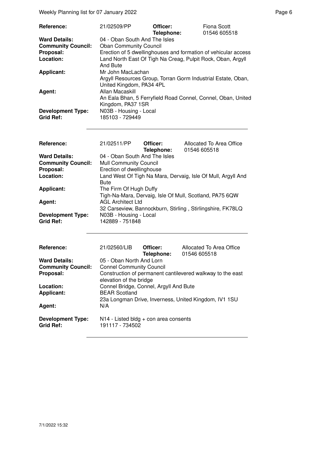Weekly Planning list for 07 January 2022 **Page 6** and the state of the Page 6

| Reference:                                   | 21/02509/PP                                                                              | Officer:<br>Telephone: | Fiona Scott<br>01546 605518 |
|----------------------------------------------|------------------------------------------------------------------------------------------|------------------------|-----------------------------|
| <b>Ward Details:</b>                         | 04 - Oban South And The Isles                                                            |                        |                             |
| <b>Community Council:</b>                    | <b>Oban Community Council</b>                                                            |                        |                             |
| Proposal:                                    | Erection of 5 dwellinghouses and formation of vehicular access                           |                        |                             |
| Location:                                    | Land North East Of Tigh Na Creag, Pulpit Rock, Oban, Argyll<br>And Bute                  |                        |                             |
| <b>Applicant:</b>                            | Mr John MacLachan                                                                        |                        |                             |
|                                              | Argyll Resources Group, Torran Gorm Industrial Estate, Oban,<br>United Kingdom, PA34 4PL |                        |                             |
| Agent:                                       | Allan Macaskill                                                                          |                        |                             |
|                                              | An Eala Bhan, 5 Ferryfield Road Connel, Connel, Oban, United                             |                        |                             |
|                                              | Kingdom, PA37 1SR                                                                        |                        |                             |
| <b>Development Type:</b><br><b>Grid Ref:</b> | N03B - Housing - Local<br>185103 - 729449                                                |                        |                             |

| <b>Reference:</b>         | 21/02511/PP                                                  | Officer:<br>Telephone: | Allocated To Area Office<br>01546 605518                   |
|---------------------------|--------------------------------------------------------------|------------------------|------------------------------------------------------------|
| <b>Ward Details:</b>      | 04 - Oban South And The Isles                                |                        |                                                            |
| <b>Community Council:</b> | <b>Mull Community Council</b>                                |                        |                                                            |
| Proposal:                 | Erection of dwellinghouse                                    |                        |                                                            |
| Location:                 | Land West Of Tigh Na Mara, Dervaig, Isle Of Mull, Argyll And |                        |                                                            |
|                           | <b>Bute</b>                                                  |                        |                                                            |
| <b>Applicant:</b>         | The Firm Of Hugh Duffy                                       |                        |                                                            |
|                           |                                                              |                        | Tigh-Na-Mara, Dervaig, Isle Of Mull, Scotland, PA75 6QW    |
| Agent:                    | <b>AGL Architect Ltd</b>                                     |                        |                                                            |
|                           |                                                              |                        | 32 Carseview, Bannockburn, Stirling, Stirlingshire, FK78LQ |
| <b>Development Type:</b>  | N03B - Housing - Local                                       |                        |                                                            |
| <b>Grid Ref:</b>          | 142889 - 751848                                              |                        |                                                            |

| <b>Reference:</b>                            | 21/02560/LIB                                                                          | Officer:<br>Telephone: | Allocated To Area Office<br>01546 605518 |
|----------------------------------------------|---------------------------------------------------------------------------------------|------------------------|------------------------------------------|
| <b>Ward Details:</b>                         | 05 - Oban North And Lorn                                                              |                        |                                          |
| <b>Community Council:</b>                    | <b>Connel Community Council</b>                                                       |                        |                                          |
| Proposal:                                    | Construction of permanent cantilevered walkway to the east<br>elevation of the bridge |                        |                                          |
| Location:                                    | Connel Bridge, Connel, Argyll And Bute                                                |                        |                                          |
| <b>Applicant:</b>                            | <b>BEAR Scotland</b>                                                                  |                        |                                          |
| Agent:                                       | 23a Longman Drive, Inverness, United Kingdom, IV1 1SU<br>N/A                          |                        |                                          |
|                                              |                                                                                       |                        |                                          |
| <b>Development Type:</b><br><b>Grid Ref:</b> | $N14$ - Listed bldg + con area consents<br>191117 - 734502                            |                        |                                          |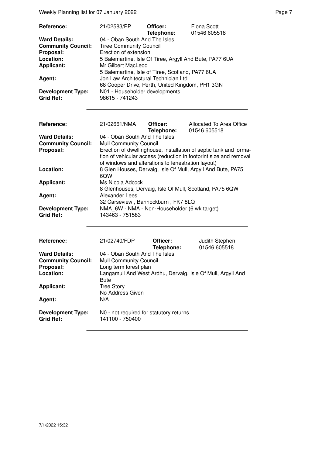Weekly Planning list for 07 January 2022 **Page 7** Neekly Planning list for 07 January 2022

| Reference:                            | 21/02583/PP                                                                                                                                 | Officer:<br>Telephone: | Fiona Scott<br>01546 605518 |  |
|---------------------------------------|---------------------------------------------------------------------------------------------------------------------------------------------|------------------------|-----------------------------|--|
| <b>Ward Details:</b>                  | 04 - Oban South And The Isles                                                                                                               |                        |                             |  |
| <b>Community Council:</b>             | <b>Tiree Community Council</b>                                                                                                              |                        |                             |  |
| Proposal:                             | Erection of extension                                                                                                                       |                        |                             |  |
| Location:                             | 5 Balemartine, Isle Of Tiree, Argyll And Bute, PA77 6UA                                                                                     |                        |                             |  |
| <b>Applicant:</b>                     | Mr Gilbert MacLeod                                                                                                                          |                        |                             |  |
| Agent:                                | 5 Balemartine, Isle of Tiree, Scotland, PA77 6UA<br>Jon Law Architectural Technician Ltd<br>68 Cooper Drive, Perth, United Kingdom, PH1 3GN |                        |                             |  |
| <b>Development Type:</b><br>Grid Ref: | N01 - Householder developments<br>98615 - 741243                                                                                            |                        |                             |  |

| Reference:                                   | 21/02661/NMA                                                    | Officer:<br>Telephone: | Allocated To Area Office<br>01546 605518                          |
|----------------------------------------------|-----------------------------------------------------------------|------------------------|-------------------------------------------------------------------|
| <b>Ward Details:</b>                         | 04 - Oban South And The Isles                                   |                        |                                                                   |
| <b>Community Council:</b>                    | <b>Mull Community Council</b>                                   |                        |                                                                   |
| Proposal:                                    |                                                                 |                        | Erection of dwellinghouse, installation of septic tank and forma- |
|                                              | of windows and alterations to fenestration layout)              |                        | tion of vehicular access (reduction in footprint size and removal |
| Location:                                    | 6QW                                                             |                        | 8 Glen Houses, Dervaig, Isle Of Mull, Argyll And Bute, PA75       |
| <b>Applicant:</b>                            | Ms Nicola Adcock                                                |                        |                                                                   |
|                                              |                                                                 |                        | 8 Glenhouses, Dervaig, Isle Of Mull, Scotland, PA75 6QW           |
| Agent:                                       | Alexander Lees                                                  |                        |                                                                   |
|                                              | 32 Carseview, Bannockburn, FK7 8LQ                              |                        |                                                                   |
| <b>Development Type:</b><br><b>Grid Ref:</b> | NMA 6W - NMA - Non-Householder (6 wk target)<br>143463 - 751583 |                        |                                                                   |

| Reference:                                   | 21/02740/FDP                                                | Officer:<br>Telephone: | Judith Stephen<br>01546 605518 |
|----------------------------------------------|-------------------------------------------------------------|------------------------|--------------------------------|
| <b>Ward Details:</b>                         | 04 - Oban South And The Isles                               |                        |                                |
| <b>Community Council:</b>                    | <b>Mull Community Council</b>                               |                        |                                |
| Proposal:                                    | Long term forest plan                                       |                        |                                |
| Location:                                    | Langamull And West Ardhu, Dervaig, Isle Of Mull, Argyll And |                        |                                |
|                                              | Bute                                                        |                        |                                |
| <b>Applicant:</b>                            | <b>Tree Story</b>                                           |                        |                                |
|                                              | No Address Given                                            |                        |                                |
| Agent:                                       | N/A                                                         |                        |                                |
| <b>Development Type:</b><br><b>Grid Ref:</b> | NO - not required for statutory returns<br>141100 - 750400  |                        |                                |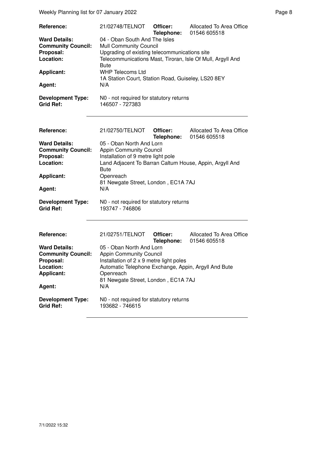Weekly Planning list for 07 January 2022 **Page 8** and the state of the Page 8

| Reference:                                                                                                 | 21/02748/TELNOT                                                                                                                                                                                                          | Officer:<br>Telephone: | Allocated To Area Office<br>01546 605518 |  |  |
|------------------------------------------------------------------------------------------------------------|--------------------------------------------------------------------------------------------------------------------------------------------------------------------------------------------------------------------------|------------------------|------------------------------------------|--|--|
| <b>Ward Details:</b><br><b>Community Council:</b><br>Proposal:<br>Location:                                | 04 - Oban South And The Isles<br><b>Mull Community Council</b><br>Upgrading of existing telecommunications site<br>Telecommunications Mast, Tiroran, Isle Of Mull, Argyll And<br><b>Bute</b>                             |                        |                                          |  |  |
| <b>Applicant:</b>                                                                                          | <b>WHP Telecoms Ltd</b>                                                                                                                                                                                                  |                        |                                          |  |  |
| Agent:                                                                                                     | 1A Station Court, Station Road, Guiseley, LS20 8EY<br>N/A                                                                                                                                                                |                        |                                          |  |  |
| <b>Development Type:</b><br><b>Grid Ref:</b>                                                               | N0 - not required for statutory returns<br>146507 - 727383                                                                                                                                                               |                        |                                          |  |  |
| Reference:                                                                                                 | 21/02750/TELNOT                                                                                                                                                                                                          | Officer:<br>Telephone: | Allocated To Area Office<br>01546 605518 |  |  |
| <b>Ward Details:</b><br><b>Community Council:</b><br>Proposal:<br>Location:                                | 05 - Oban North And Lorn<br><b>Appin Community Council</b><br>Installation of 9 metre light pole<br>Land Adjacent To Barran Caltum House, Appin, Argyll And<br><b>Bute</b>                                               |                        |                                          |  |  |
| <b>Applicant:</b><br>Agent:                                                                                | Openreach<br>81 Newgate Street, London, EC1A 7AJ<br>N/A                                                                                                                                                                  |                        |                                          |  |  |
| <b>Development Type:</b><br><b>Grid Ref:</b>                                                               | N0 - not required for statutory returns<br>193747 - 746806                                                                                                                                                               |                        |                                          |  |  |
| Reference:                                                                                                 | 21/02751/TELNOT                                                                                                                                                                                                          | Officer:<br>Telephone: | Allocated To Area Office<br>01546 605518 |  |  |
| <b>Ward Details:</b><br><b>Community Council:</b><br>Proposal:<br>Location:<br><b>Applicant:</b><br>Agent: | 05 - Oban North And Lorn<br><b>Appin Community Council</b><br>Installation of 2 x 9 metre light poles<br>Automatic Telephone Exchange, Appin, Argyll And Bute<br>Openreach<br>81 Newgate Street, London, EC1A 7AJ<br>N/A |                        |                                          |  |  |
| <b>Development Type:</b><br><b>Grid Ref:</b>                                                               | N0 - not required for statutory returns<br>193682 - 746615                                                                                                                                                               |                        |                                          |  |  |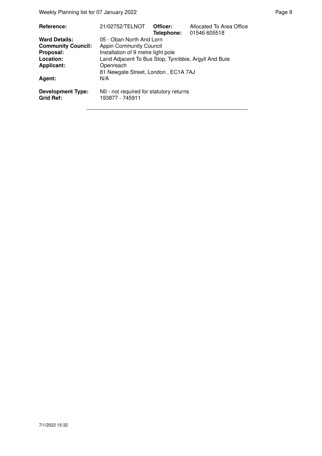| Reference:                                   | 21/02752/TELNOT                                            | Officer:<br>Telephone: | Allocated To Area Office<br>01546 605518 |  |
|----------------------------------------------|------------------------------------------------------------|------------------------|------------------------------------------|--|
| <b>Ward Details:</b>                         | 05 - Oban North And Lorn                                   |                        |                                          |  |
| <b>Community Council:</b>                    | <b>Appin Community Council</b>                             |                        |                                          |  |
| Proposal:                                    | Installation of 9 metre light pole                         |                        |                                          |  |
| Location:                                    | Land Adjacent To Bus Stop, Tynribbie, Argyll And Bute      |                        |                                          |  |
| <b>Applicant:</b>                            | Openreach                                                  |                        |                                          |  |
|                                              | 81 Newgate Street, London, EC1A 7AJ                        |                        |                                          |  |
| Agent:                                       | N/A                                                        |                        |                                          |  |
| <b>Development Type:</b><br><b>Grid Ref:</b> | N0 - not required for statutory returns<br>193877 - 745911 |                        |                                          |  |